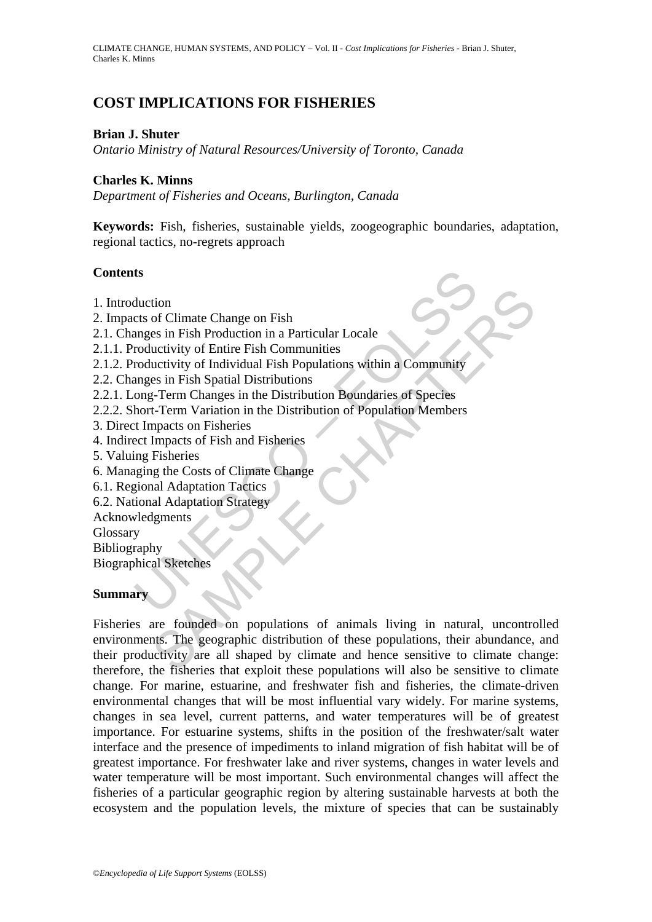# **COST IMPLICATIONS FOR FISHERIES**

## **Brian J. Shuter**

*Ontario Ministry of Natural Resources/University of Toronto, Canada* 

### **Charles K. Minns**

*Department of Fisheries and Oceans, Burlington, Canada* 

**Keywords:** Fish, fisheries, sustainable yields, zoogeographic boundaries, adaptation, regional tactics, no-regrets approach

### **Contents**

- 1. Introduction
- 2. Impacts of Climate Change on Fish
- 2.1. Changes in Fish Production in a Particular Locale
- 2.1.1. Productivity of Entire Fish Communities
- ts<br>
duction<br>
cts of Climate Change on Fish<br>
nages in Fish Production in a Particular Locale<br>
roductivity of Entire Fish Communities<br>
roductivity of Individual Fish Populations within a Community<br>
nages in Fish Spatial Dist 2.1.2. Productivity of Individual Fish Populations within a Community
- 2.2. Changes in Fish Spatial Distributions
- 2.2.1. Long-Term Changes in the Distribution Boundaries of Species
- 2.2.2. Short-Term Variation in the Distribution of Population Members
- 3. Direct Impacts on Fisheries
- 4. Indirect Impacts of Fish and Fisheries
- 5. Valuing Fisheries
- 6. Managing the Costs of Climate Change
- 6.1. Regional Adaptation Tactics
- 6.2. National Adaptation Strategy
- Acknowledgments
- Glossary
- Bibliography

Biographical Sketches

# **Summary**

tion<br>
of Climate Change on Fish<br>
existive of Entine Fish Communities<br>
uctivity of Individual Fish Populations within a Community<br>
ses in Fish Spatial Distributions<br>
es in Fish Spatial Distributions<br>
es in Fish Spatial Dist Fisheries are founded on populations of animals living in natural, uncontrolled environments. The geographic distribution of these populations, their abundance, and their productivity are all shaped by climate and hence sensitive to climate change: therefore, the fisheries that exploit these populations will also be sensitive to climate change. For marine, estuarine, and freshwater fish and fisheries, the climate-driven environmental changes that will be most influential vary widely. For marine systems, changes in sea level, current patterns, and water temperatures will be of greatest importance. For estuarine systems, shifts in the position of the freshwater/salt water interface and the presence of impediments to inland migration of fish habitat will be of greatest importance. For freshwater lake and river systems, changes in water levels and water temperature will be most important. Such environmental changes will affect the fisheries of a particular geographic region by altering sustainable harvests at both the ecosystem and the population levels, the mixture of species that can be sustainably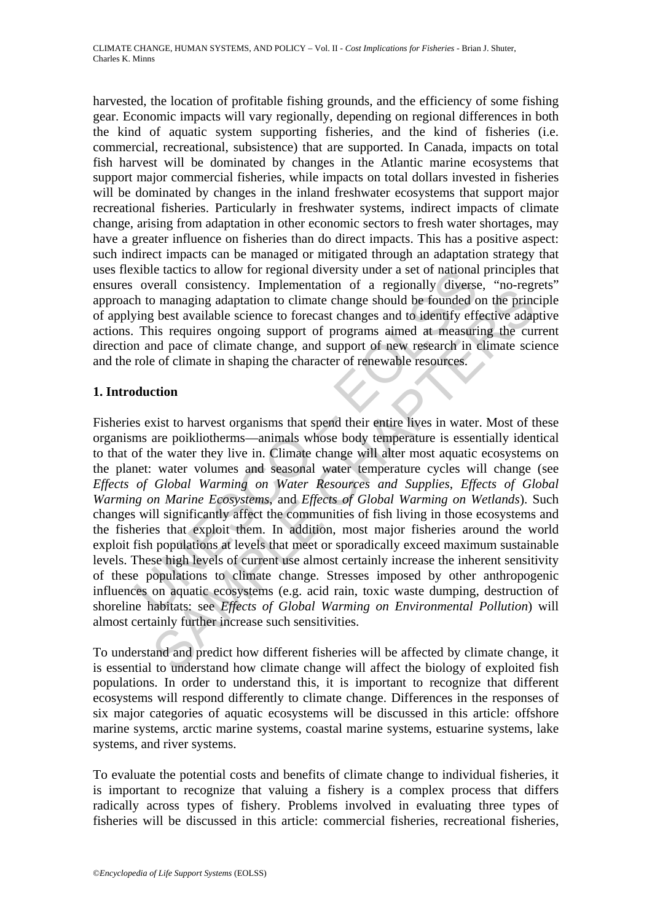harvested, the location of profitable fishing grounds, and the efficiency of some fishing gear. Economic impacts will vary regionally, depending on regional differences in both the kind of aquatic system supporting fisheries, and the kind of fisheries (i.e. commercial, recreational, subsistence) that are supported. In Canada, impacts on total fish harvest will be dominated by changes in the Atlantic marine ecosystems that support major commercial fisheries, while impacts on total dollars invested in fisheries will be dominated by changes in the inland freshwater ecosystems that support major recreational fisheries. Particularly in freshwater systems, indirect impacts of climate change, arising from adaptation in other economic sectors to fresh water shortages, may have a greater influence on fisheries than do direct impacts. This has a positive aspect: such indirect impacts can be managed or mitigated through an adaptation strategy that uses flexible tactics to allow for regional diversity under a set of national principles that ensures overall consistency. Implementation of a regionally diverse, "no-regrets" approach to managing adaptation to climate change should be founded on the principle of applying best available science to forecast changes and to identify effective adaptive actions. This requires ongoing support of programs aimed at measuring the current direction and pace of climate change, and support of new research in climate science and the role of climate in shaping the character of renewable resources.

# **1. Introduction**

xible tactics to allow for regional diversity under a set of national<br>orginal consistency. Implementation of a regionally diverses<br>time to to managing adaptation to climate change should be founded c<br>ing best available sci From Constance). Impediation of a regional process of parameterisation of a regional process consumption to climate change should be founded on the prince best available science to forceast changes and to identify effecti Fisheries exist to harvest organisms that spend their entire lives in water. Most of these organisms are poikliotherms—animals whose body temperature is essentially identical to that of the water they live in. Climate change will alter most aquatic ecosystems on the planet: water volumes and seasonal water temperature cycles will change (see *Effects of Global Warming on Water Resources and Supplies*, *Effects of Global Warming on Marine Ecosystems*, and *Effects of Global Warming on Wetlands*). Such changes will significantly affect the communities of fish living in those ecosystems and the fisheries that exploit them. In addition, most major fisheries around the world exploit fish populations at levels that meet or sporadically exceed maximum sustainable levels. These high levels of current use almost certainly increase the inherent sensitivity of these populations to climate change. Stresses imposed by other anthropogenic influences on aquatic ecosystems (e.g. acid rain, toxic waste dumping, destruction of shoreline habitats: see *Effects of Global Warming on Environmental Pollution*) will almost certainly further increase such sensitivities.

To understand and predict how different fisheries will be affected by climate change, it is essential to understand how climate change will affect the biology of exploited fish populations. In order to understand this, it is important to recognize that different ecosystems will respond differently to climate change. Differences in the responses of six major categories of aquatic ecosystems will be discussed in this article: offshore marine systems, arctic marine systems, coastal marine systems, estuarine systems, lake systems, and river systems.

To evaluate the potential costs and benefits of climate change to individual fisheries, it is important to recognize that valuing a fishery is a complex process that differs radically across types of fishery. Problems involved in evaluating three types of fisheries will be discussed in this article: commercial fisheries, recreational fisheries,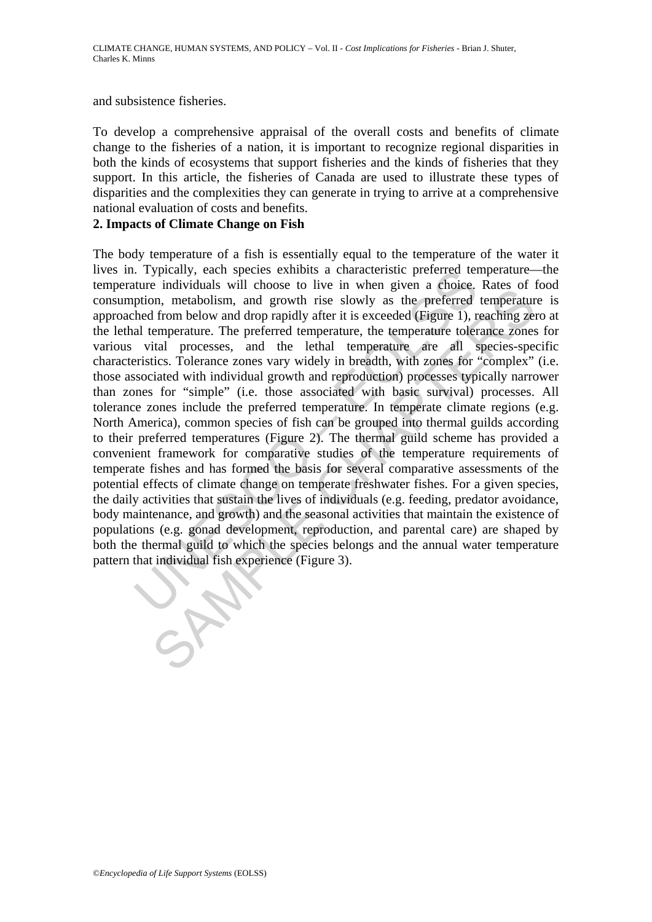and subsistence fisheries.

To develop a comprehensive appraisal of the overall costs and benefits of climate change to the fisheries of a nation, it is important to recognize regional disparities in both the kinds of ecosystems that support fisheries and the kinds of fisheries that they support. In this article, the fisheries of Canada are used to illustrate these types of disparities and the complexities they can generate in trying to arrive at a comprehensive national evaluation of costs and benefits.

## **2. Impacts of Climate Change on Fish**

If ypically, each species exhibits a characteristic preferred term individuals will choose to live in when given a choise.<br>Interimential probably as the preferred tent with the weak in the specified from below and drop ra information and growth into the mean given a contect. Natas on<br>the methodism, and growth rise slowly as the preferred tamperature<br>of from below and drop rapidly after it is exceeded (Figure 1), reaching zee<br>mperature. The The body temperature of a fish is essentially equal to the temperature of the water it lives in. Typically, each species exhibits a characteristic preferred temperature—the temperature individuals will choose to live in when given a choice. Rates of food consumption, metabolism, and growth rise slowly as the preferred temperature is approached from below and drop rapidly after it is exceeded (Figure 1), reaching zero at the lethal temperature. The preferred temperature, the temperature tolerance zones for various vital processes, and the lethal temperature are all species-specific characteristics. Tolerance zones vary widely in breadth, with zones for "complex" (i.e. those associated with individual growth and reproduction) processes typically narrower than zones for "simple" (i.e. those associated with basic survival) processes. All tolerance zones include the preferred temperature. In temperate climate regions (e.g. North America), common species of fish can be grouped into thermal guilds according to their preferred temperatures (Figure 2). The thermal guild scheme has provided a convenient framework for comparative studies of the temperature requirements of temperate fishes and has formed the basis for several comparative assessments of the potential effects of climate change on temperate freshwater fishes. For a given species, the daily activities that sustain the lives of individuals (e.g. feeding, predator avoidance, body maintenance, and growth) and the seasonal activities that maintain the existence of populations (e.g. gonad development, reproduction, and parental care) are shaped by both the thermal guild to which the species belongs and the annual water temperature pattern that individual fish experience (Figure 3).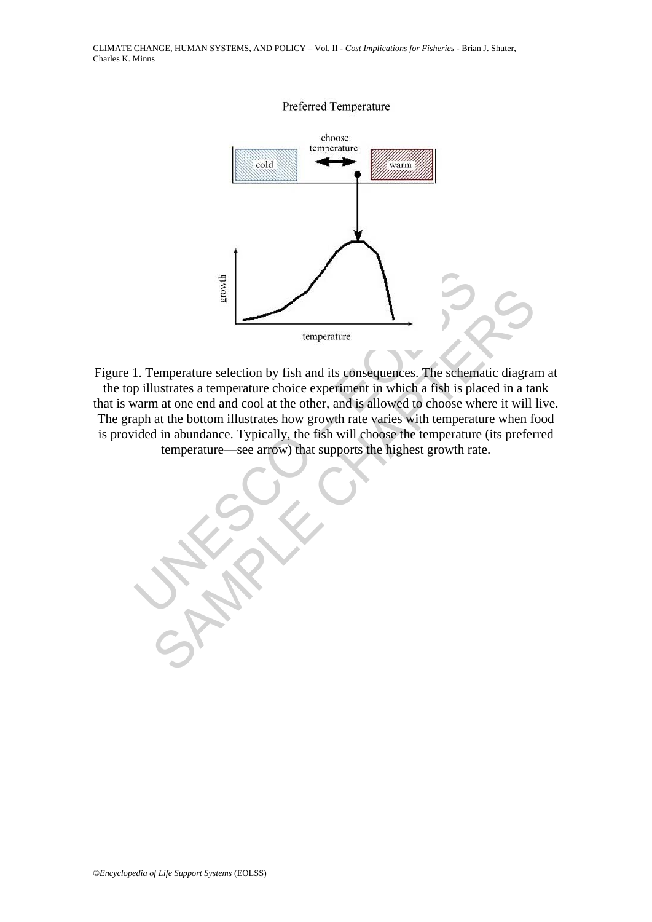

Frame and colored and the offering temperature<br>
U. Temperature selection by fish and its consequences. The scheme pillustrates a temperature choice experiment in which a fish is play<br>
warm at one end and cool at the other, Experienture<br>
Comperature<br>
Comperature<br>
Comperature<br>
Consequences S. The schematic diagram<br>
In at one end and cool at the other, and is allowed to choose where it will<br>
at the bottom illustrates how growth rate varies with Figure 1. Temperature selection by fish and its consequences. The schematic diagram at the top illustrates a temperature choice experiment in which a fish is placed in a tank that is warm at one end and cool at the other, and is allowed to choose where it will live. The graph at the bottom illustrates how growth rate varies with temperature when food is provided in abundance. Typically, the fish will choose the temperature (its preferred temperature—see arrow) that supports the highest growth rate.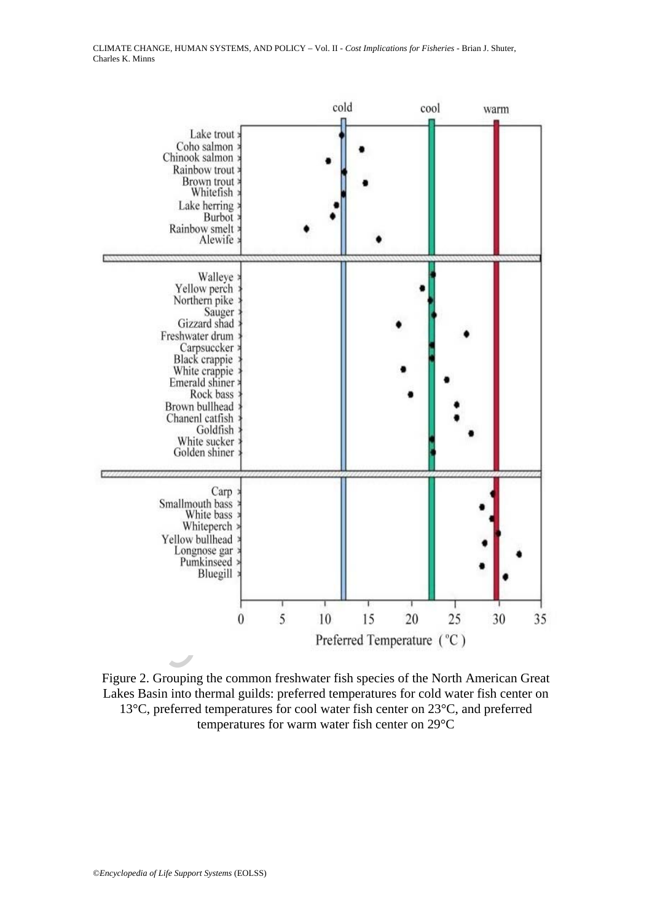

Figure 2. Grouping the common freshwater fish species of the North American Great Lakes Basin into thermal guilds: preferred temperatures for cold water fish center on 13°C, preferred temperatures for cool water fish center on 23°C, and preferred temperatures for warm water fish center on 29°C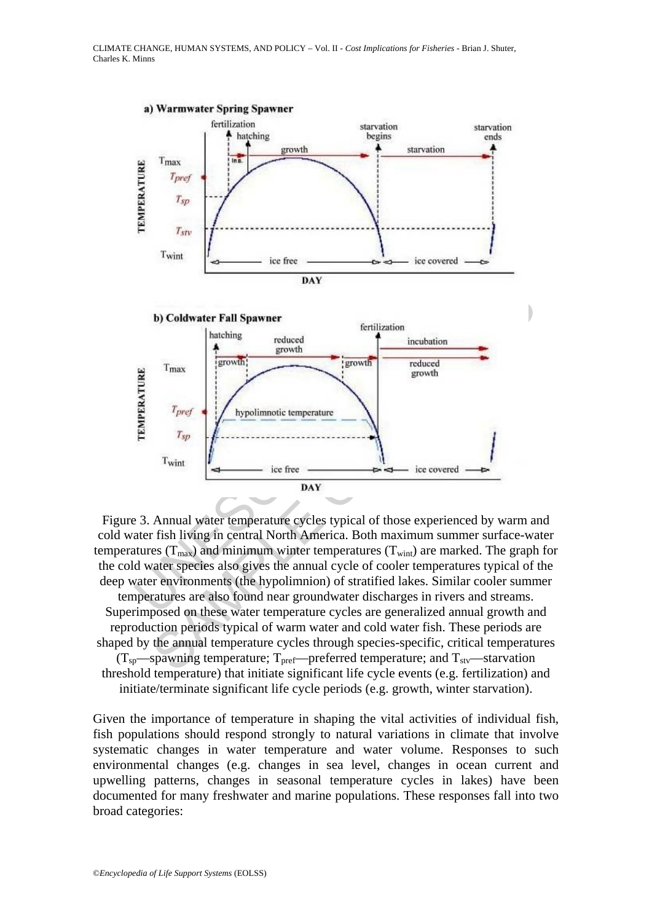

Figure 3. Annual water temperature cycles typical of those experienced by warm and cold water fish living in central North America. Both maximum summer surface-water temperatures ( $T_{\text{max}}$ ) and minimum winter temperatures ( $T_{\text{win}}$ ) are marked. The graph for the cold water species also gives the annual cycle of cooler temperatures typical of the deep water environments (the hypolimnion) of stratified lakes. Similar cooler summer temperatures are also found near groundwater discharges in rivers and streams. Superimposed on these water temperature cycles are generalized annual growth and reproduction periods typical of warm water and cold water fish. These periods are shaped by the annual temperature cycles through species-specific, critical temperatures

 $(T_{sp}$ —spawning temperature;  $T_{\text{pref}}$ —preferred temperature; and  $T_{\text{stv}}$ —starvation threshold temperature) that initiate significant life cycle events (e.g. fertilization) and initiate/terminate significant life cycle periods (e.g. growth, winter starvation).

Given the importance of temperature in shaping the vital activities of individual fish, fish populations should respond strongly to natural variations in climate that involve systematic changes in water temperature and water volume. Responses to such environmental changes (e.g. changes in sea level, changes in ocean current and upwelling patterns, changes in seasonal temperature cycles in lakes) have been documented for many freshwater and marine populations. These responses fall into two broad categories: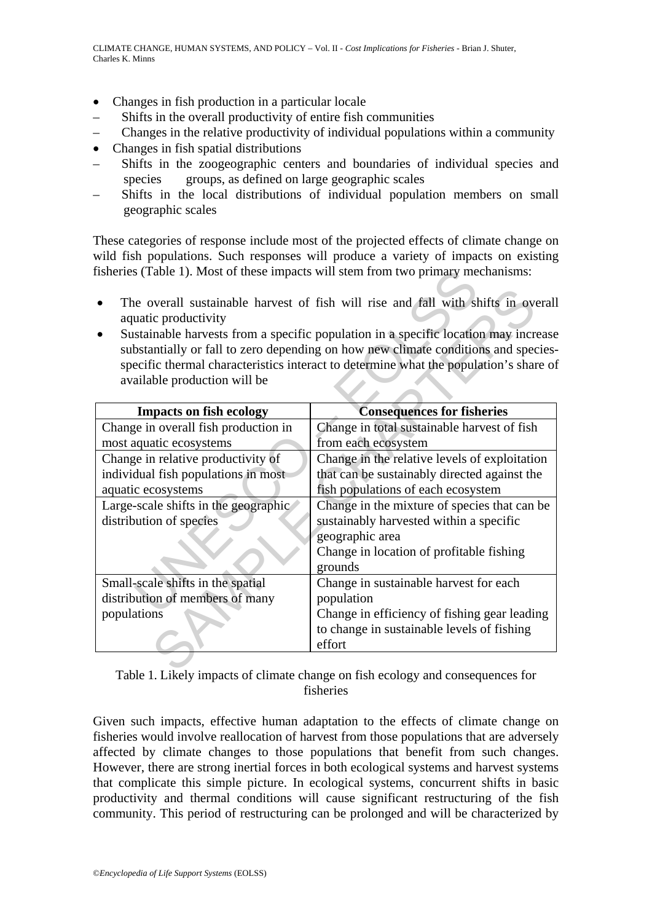- Changes in fish production in a particular locale
- Shifts in the overall productivity of entire fish communities
- Changes in the relative productivity of individual populations within a community
- Changes in fish spatial distributions
- Shifts in the zoogeographic centers and boundaries of individual species and species groups, as defined on large geographic scales
- Shifts in the local distributions of individual population members on small geographic scales

These categories of response include most of the projected effects of climate change on wild fish populations. Such responses will produce a variety of impacts on existing fisheries (Table 1). Most of these impacts will stem from two primary mechanisms:

- The overall sustainable harvest of fish will rise and fall with shifts in overall aquatic productivity
- Sustainable harvests from a specific population in a specific location may increase substantially or fall to zero depending on how new climate conditions and speciesspecific thermal characteristics interact to determine what the population's share of available production will be

| isheries (Table 1). Most of these impacts will stem from two primary mechanisms:                                                                                                                                                                                                                                                                                                                                                          |                                                                                                                                                                   |
|-------------------------------------------------------------------------------------------------------------------------------------------------------------------------------------------------------------------------------------------------------------------------------------------------------------------------------------------------------------------------------------------------------------------------------------------|-------------------------------------------------------------------------------------------------------------------------------------------------------------------|
| The overall sustainable harvest of fish will rise and fall with shifts in overall<br>$\bullet$<br>aquatic productivity<br>Sustainable harvests from a specific population in a specific location may increase<br>$\bullet$<br>substantially or fall to zero depending on how new climate conditions and species-<br>specific thermal characteristics interact to determine what the population's share of<br>available production will be |                                                                                                                                                                   |
| <b>Impacts on fish ecology</b>                                                                                                                                                                                                                                                                                                                                                                                                            | <b>Consequences for fisheries</b>                                                                                                                                 |
| Change in overall fish production in<br>most aquatic ecosystems                                                                                                                                                                                                                                                                                                                                                                           | Change in total sustainable harvest of fish<br>from each ecosystem                                                                                                |
| Change in relative productivity of<br>individual fish populations in most                                                                                                                                                                                                                                                                                                                                                                 | Change in the relative levels of exploitation<br>that can be sustainably directed against the                                                                     |
| aquatic ecosystems                                                                                                                                                                                                                                                                                                                                                                                                                        | fish populations of each ecosystem                                                                                                                                |
| Large-scale shifts in the geographic<br>distribution of species                                                                                                                                                                                                                                                                                                                                                                           | Change in the mixture of species that can be<br>sustainably harvested within a specific<br>geographic area<br>Change in location of profitable fishing<br>grounds |
| Small-scale shifts in the spatial                                                                                                                                                                                                                                                                                                                                                                                                         | Change in sustainable harvest for each                                                                                                                            |
| distribution of members of many                                                                                                                                                                                                                                                                                                                                                                                                           | population                                                                                                                                                        |
| populations                                                                                                                                                                                                                                                                                                                                                                                                                               | Change in efficiency of fishing gear leading<br>to change in sustainable levels of fishing<br>effort                                                              |
| <b>mit armitis</b>                                                                                                                                                                                                                                                                                                                                                                                                                        | $\alpha$ is the set of $\alpha$                                                                                                                                   |

Table 1. Likely impacts of climate change on fish ecology and consequences for fisheries

Given such impacts, effective human adaptation to the effects of climate change on fisheries would involve reallocation of harvest from those populations that are adversely affected by climate changes to those populations that benefit from such changes. However, there are strong inertial forces in both ecological systems and harvest systems that complicate this simple picture. In ecological systems, concurrent shifts in basic productivity and thermal conditions will cause significant restructuring of the fish community. This period of restructuring can be prolonged and will be characterized by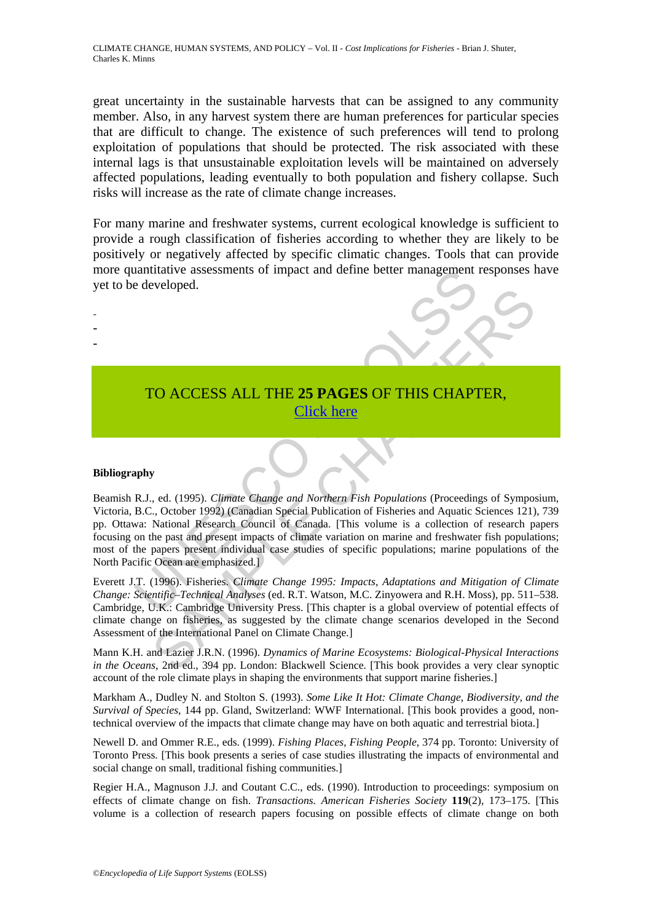great uncertainty in the sustainable harvests that can be assigned to any community member. Also, in any harvest system there are human preferences for particular species that are difficult to change. The existence of such preferences will tend to prolong exploitation of populations that should be protected. The risk associated with these internal lags is that unsustainable exploitation levels will be maintained on adversely affected populations, leading eventually to both population and fishery collapse. Such risks will increase as the rate of climate change increases.

For many marine and freshwater systems, current ecological knowledge is sufficient to provide a rough classification of fisheries according to whether they are likely to be positively or negatively affected by specific climatic changes. Tools that can provide more quantitative assessments of impact and define better management responses have yet to be developed.

> TO ACCESS ALL THE **25 PAGES** OF THIS CHAPTER, Click here

#### **Bibliography**

- - -

TRACTIVE ACCESS ALL THE 25 PAGES OF THIS CHAPT<br>
TO ACCESS ALL THE 25 PAGES OF THIS CHAPT<br>
TO ACCESS ALL THE 25 PAGES OF THIS CHAPT<br>
Puby<br>
R.J., ed. (1995). *Climate Change and Northern Fish Populations* (Proceeding<br>
B.C., FOR ACCESS ALL THE 25 PAGES OF THIS CHAPTER,<br>  $\frac{\text{Click here}}{\text{Vert}}$ <br>
S. (a.d. (1995). *Climatic Change and Northern Fish Populations* (Proceedings of Sympositional Research Council of Canada. [This voltime is a collection of re Beamish R.J., ed. (1995). *Climate Change and Northern Fish Populations* (Proceedings of Symposium, Victoria, B.C., October 1992) (Canadian Special Publication of Fisheries and Aquatic Sciences 121), 739 pp. Ottawa: National Research Council of Canada. [This volume is a collection of research papers focusing on the past and present impacts of climate variation on marine and freshwater fish populations; most of the papers present individual case studies of specific populations; marine populations of the North Pacific Ocean are emphasized.]

Everett J.T. (1996). Fisheries. *Climate Change 1995: Impacts, Adaptations and Mitigation of Climate Change: Scientific–Technical Analyses* (ed. R.T. Watson, M.C. Zinyowera and R.H. Moss), pp. 511–538. Cambridge, U.K.: Cambridge University Press. [This chapter is a global overview of potential effects of climate change on fisheries, as suggested by the climate change scenarios developed in the Second Assessment of the International Panel on Climate Change.]

Mann K.H. and Lazier J.R.N. (1996). *Dynamics of Marine Ecosystems: Biological-Physical Interactions in the Oceans*, 2nd ed., 394 pp. London: Blackwell Science. [This book provides a very clear synoptic account of the role climate plays in shaping the environments that support marine fisheries.]

Markham A., Dudley N. and Stolton S. (1993). *Some Like It Hot: Climate Change, Biodiversity, and the Survival of Species*, 144 pp. Gland, Switzerland: WWF International. [This book provides a good, nontechnical overview of the impacts that climate change may have on both aquatic and terrestrial biota.]

Newell D. and Ommer R.E., eds. (1999). *Fishing Places, Fishing People*, 374 pp. Toronto: University of Toronto Press. [This book presents a series of case studies illustrating the impacts of environmental and social change on small, traditional fishing communities.]

Regier H.A., Magnuson J.J. and Coutant C.C., eds. (1990). Introduction to proceedings: symposium on effects of climate change on fish. *Transactions. American Fisheries Society* **119**(2), 173–175. [This volume is a collection of research papers focusing on possible effects of climate change on both